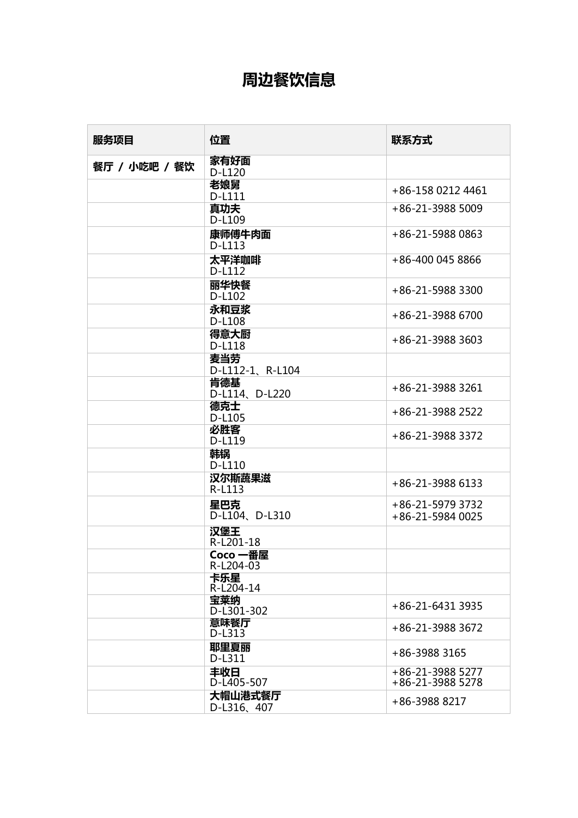## **周边餐饮信息**

| 服务项目          | 位置                     | 联系方式                                 |
|---------------|------------------------|--------------------------------------|
| 餐厅 / 小吃吧 / 餐饮 | 家有好面<br>D-L120         |                                      |
|               | 老娘舅<br>D-L111          | +86-158 0212 4461                    |
|               | 真功夫<br>D-L109          | +86-21-3988 5009                     |
|               | 康师傅牛肉面<br>D-L113       | +86-21-5988 0863                     |
|               | 太平洋咖啡<br>D-L112        | +86-400 045 8866                     |
|               | 丽华快餐<br>D-L102         | +86-21-5988 3300                     |
|               | 永和豆浆<br>D-L108         | +86-21-3988 6700                     |
|               | 得意大厨<br>D-L118         | +86-21-3988 3603                     |
|               | 麦当劳<br>D-L112-1、R-L104 |                                      |
|               | 肯德基<br>D-L114、D-L220   | +86-21-3988 3261                     |
|               | 德克士<br>D-L105          | +86-21-3988 2522                     |
|               | 必胜客<br>D-L119          | +86-21-3988 3372                     |
|               | 韩锅<br>D-L110           |                                      |
|               | 汉尔斯蔬果滋<br>R-L113       | +86-21-3988 6133                     |
|               | 星巴克<br>D-L104、D-L310   | +86-21-5979 3732<br>+86-21-5984 0025 |
|               | 汉堡王<br>$R-L201-18$     |                                      |
|               | Coco 一番屋<br>R-L204-03  |                                      |
|               | 卡乐星<br>$R - L204 - 14$ |                                      |
|               | 宝莱纳<br>D-L301-302      | +86-21-6431 3935                     |
|               | 意味餐厅<br>D-L313         | +86-21-3988 3672                     |
|               | 耶里夏丽<br>D-L311         | +86-3988 3165                        |
|               | 丰收日<br>D-L405-507      | +86-21-3988 5277<br>+86-21-3988 5278 |
|               | 大帽山港式餐厅<br>D-L316, 407 | +86-3988 8217                        |